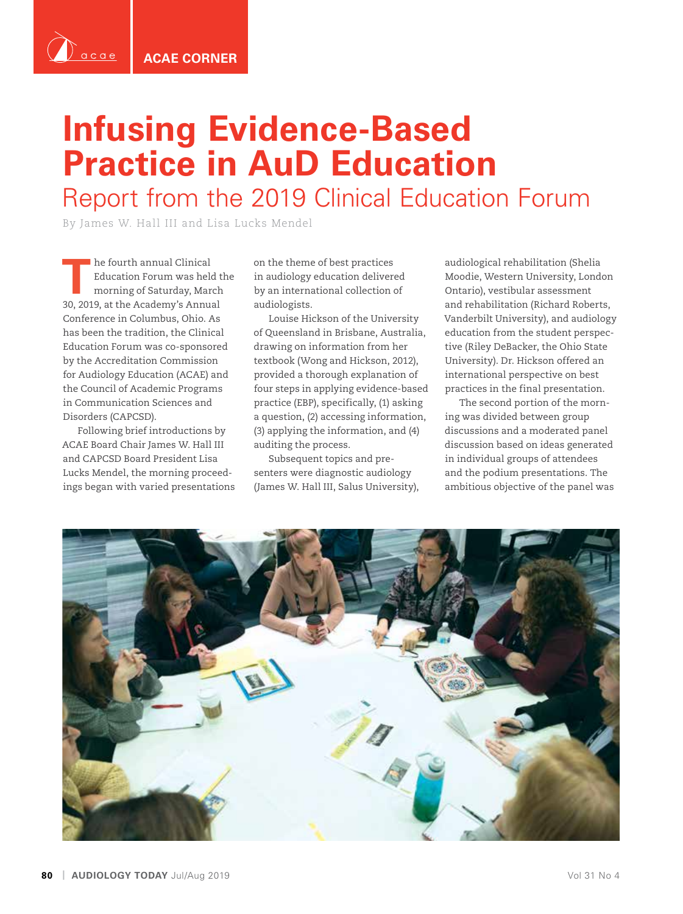

`acael

# **Infusing Evidence-Based Practice in AuD Education** Report from the 2019 Clinical Education Forum

By James W. Hall III and Lisa Lucks Mendel

**The fourth annual Clinical<br>
Education Forum was held<br>
morning of Saturday, Mar<br>
20, 2010, at the Assessment Apply** Education Forum was held the morning of Saturday, March 30, 2019, at the Academy's Annual Conference in Columbus, Ohio. As has been the tradition, the Clinical Education Forum was co-sponsored by the Accreditation Commission for Audiology Education (ACAE) and the Council of Academic Programs in Communication Sciences and Disorders (CAPCSD).

Following brief introductions by ACAE Board Chair James W. Hall III and CAPCSD Board President Lisa Lucks Mendel, the morning proceedings began with varied presentations on the theme of best practices in audiology education delivered by an international collection of audiologists.

Louise Hickson of the University of Queensland in Brisbane, Australia, drawing on information from her textbook (Wong and Hickson, 2012), provided a thorough explanation of four steps in applying evidence-based practice (EBP), specifically, (1) asking a question, (2) accessing information, (3) applying the information, and (4) auditing the process.

Subsequent topics and presenters were diagnostic audiology (James W. Hall III, Salus University),

audiological rehabilitation (Shelia Moodie, Western University, London Ontario), vestibular assessment and rehabilitation (Richard Roberts, Vanderbilt University), and audiology education from the student perspective (Riley DeBacker, the Ohio State University). Dr. Hickson offered an international perspective on best practices in the final presentation.

The second portion of the morning was divided between group discussions and a moderated panel discussion based on ideas generated in individual groups of attendees and the podium presentations. The ambitious objective of the panel was